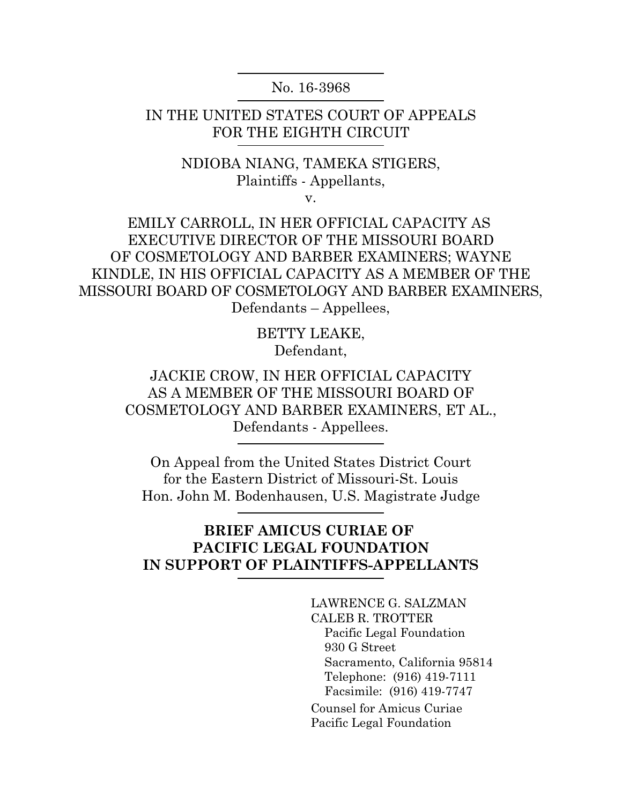No. 16-3968

IN THE UNITED STATES COURT OF APPEALS FOR THE EIGHTH CIRCUIT

> NDIOBA NIANG, TAMEKA STIGERS, Plaintiffs - Appellants,

v.

EMILY CARROLL, IN HER OFFICIAL CAPACITY AS EXECUTIVE DIRECTOR OF THE MISSOURI BOARD OF COSMETOLOGY AND BARBER EXAMINERS; WAYNE KINDLE, IN HIS OFFICIAL CAPACITY AS A MEMBER OF THE MISSOURI BOARD OF COSMETOLOGY AND BARBER EXAMINERS, Defendants – Appellees,

> BETTY LEAKE, Defendant,

JACKIE CROW, IN HER OFFICIAL CAPACITY AS A MEMBER OF THE MISSOURI BOARD OF COSMETOLOGY AND BARBER EXAMINERS, ET AL., Defendants - Appellees.

On Appeal from the United States District Court for the Eastern District of Missouri-St. Louis Hon. John M. Bodenhausen, U.S. Magistrate Judge

### **BRIEF AMICUS CURIAE OF PACIFIC LEGAL FOUNDATION IN SUPPORT OF PLAINTIFFS-APPELLANTS**

LAWRENCE G. SALZMAN CALEB R. TROTTER Pacific Legal Foundation 930 G Street Sacramento, California 95814 Telephone: (916) 419-7111 Facsimile: (916) 419-7747 Counsel for Amicus Curiae Pacific Legal Foundation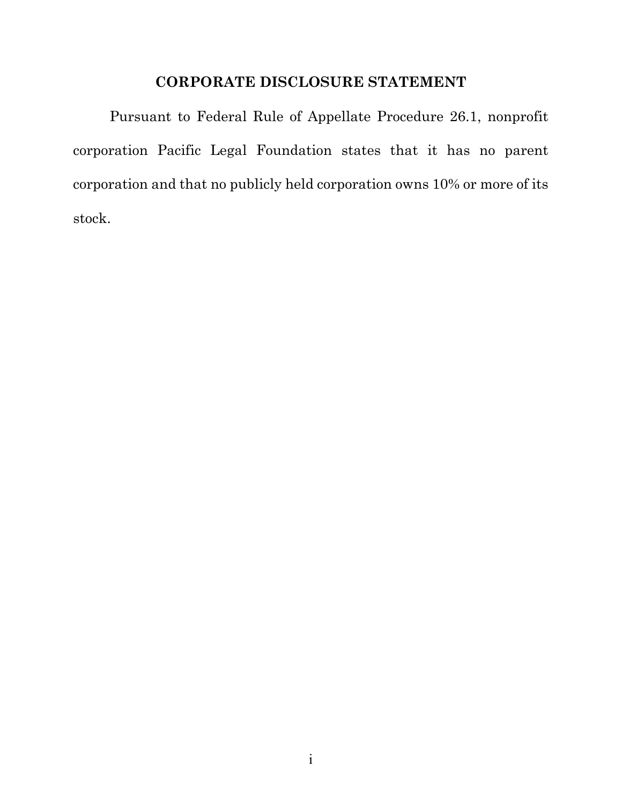# **CORPORATE DISCLOSURE STATEMENT**

Pursuant to Federal Rule of Appellate Procedure 26.1, nonprofit corporation Pacific Legal Foundation states that it has no parent corporation and that no publicly held corporation owns 10% or more of its stock.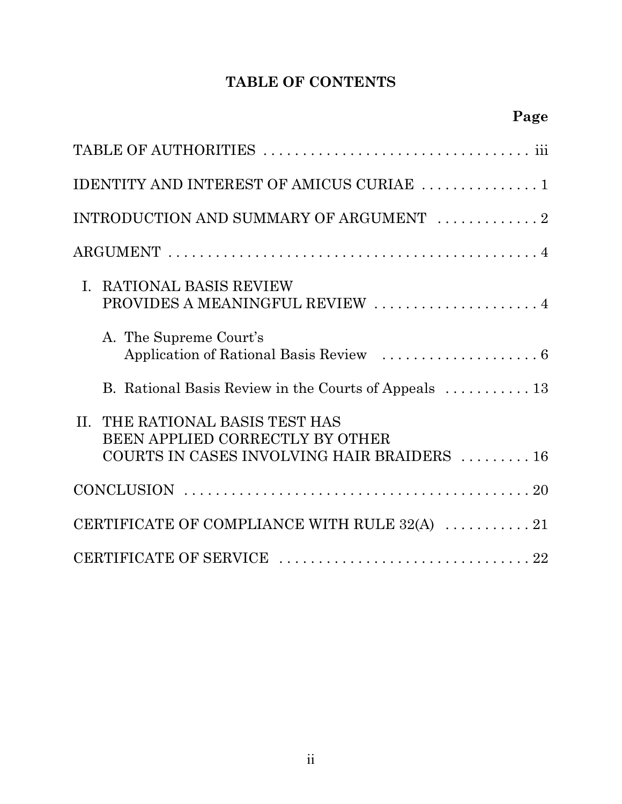# **TABLE OF CONTENTS**

| ۷<br>4<br>۱<br>ı.<br>v. |
|-------------------------|
|-------------------------|

| IDENTITY AND INTEREST OF AMICUS CURIAE  1                                                                                |
|--------------------------------------------------------------------------------------------------------------------------|
| INTRODUCTION AND SUMMARY OF ARGUMENT 2                                                                                   |
|                                                                                                                          |
| I. RATIONAL BASIS REVIEW<br>PROVIDES A MEANINGFUL REVIEW  4                                                              |
| A. The Supreme Court's                                                                                                   |
| B. Rational Basis Review in the Courts of Appeals  13                                                                    |
| THE RATIONAL BASIS TEST HAS<br>$\Pi$ .<br>BEEN APPLIED CORRECTLY BY OTHER<br>COURTS IN CASES INVOLVING HAIR BRAIDERS  16 |
|                                                                                                                          |
| CERTIFICATE OF COMPLIANCE WITH RULE 32(A) $\ldots \ldots \ldots 21$                                                      |
|                                                                                                                          |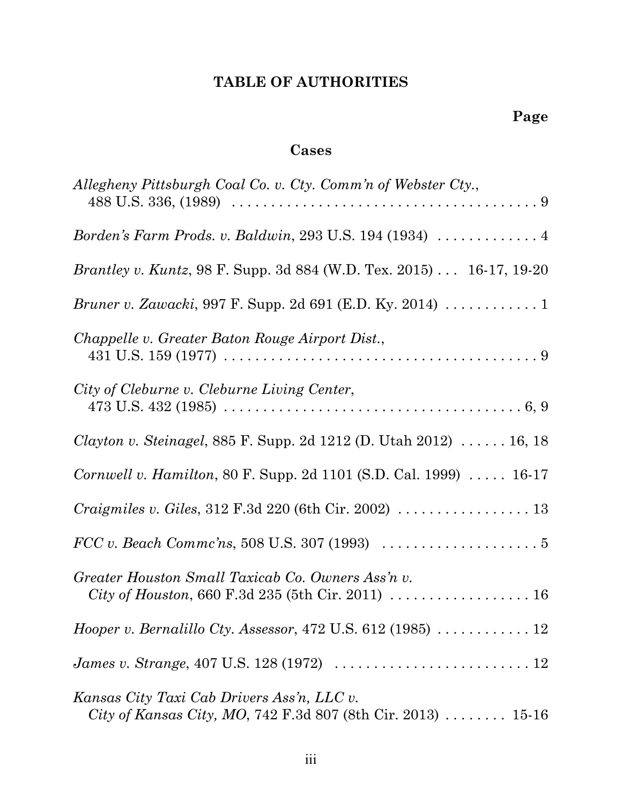# **TABLE OF AUTHORITIES**

## **Cases**

| Allegheny Pittsburgh Coal Co. v. Cty. Comm'n of Webster Cty.,                                              |
|------------------------------------------------------------------------------------------------------------|
| Borden's Farm Prods. v. Baldwin, 293 U.S. 194 (1934) $\ldots \ldots \ldots$                                |
| <i>Brantley v. Kuntz</i> , 98 F. Supp. 3d 884 (W.D. Tex. 2015) 16-17, 19-20                                |
| <i>Bruner v. Zawacki</i> , 997 F. Supp. 2d 691 (E.D. Ky. 2014) 1                                           |
| Chappelle v. Greater Baton Rouge Airport Dist.,                                                            |
| City of Cleburne v. Cleburne Living Center,                                                                |
| <i>Clayton v. Steinagel</i> , 885 F. Supp. 2d 1212 (D. Utah 2012) $\ldots \ldots$ 16, 18                   |
| Cornwell v. Hamilton, 80 F. Supp. 2d 1101 (S.D. Cal. 1999)  16-17                                          |
| <i>Craigmiles v. Giles,</i> $312$ F.3d $220$ (6th Cir. $2002$ ) $\ldots \ldots \ldots \ldots \ldots 13$    |
| $FCC v. Beach Commc'ns, 508 U.S. 307 (1993) \ldots \ldots \ldots \ldots \ldots 5$                          |
| Greater Houston Small Taxicab Co. Owners Ass'n v.<br>City of Houston, 660 F.3d 235 (5th Cir. 2011)  16     |
| <i>Hooper v. Bernalillo Cty. Assessor, 472 U.S. 612 (1985)</i> $\ldots \ldots \ldots 12$                   |
| <i>James v. Strange</i> , 407 U.S. 128 (1972) $\ldots \ldots \ldots \ldots \ldots \ldots \ldots \ldots 12$ |
| Kansas City Taxi Cab Drivers Ass'n, LLC v.<br>City of Kansas City, MO, 742 F.3d 807 (8th Cir. 2013)  15-16 |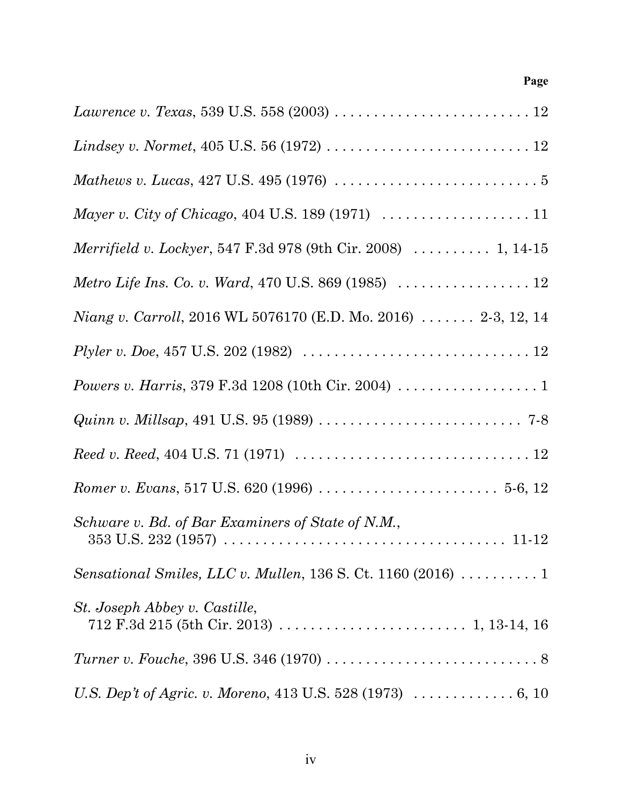### **Page**

| <i>Lindsey v. Normet</i> , 405 U.S. 56 (1972) $\ldots \ldots \ldots \ldots \ldots \ldots \ldots \ldots 12$           |
|----------------------------------------------------------------------------------------------------------------------|
| <i>Mathews v. Lucas,</i> 427 U.S. 495 (1976) $\ldots \ldots \ldots \ldots \ldots \ldots \ldots \ldots 5$             |
| <i>Mayer v. City of Chicago, 404 U.S. 189 (1971)</i> $\ldots \ldots \ldots \ldots \ldots \ldots 11$                  |
| <i>Merrifield v. Lockyer</i> , 547 F.3d 978 (9th Cir. 2008)  1, 14-15                                                |
|                                                                                                                      |
| <i>Niang v. Carroll,</i> 2016 WL 5076170 (E.D. Mo. 2016) $\ldots \ldots$ 2-3, 12, 14                                 |
| <i>Plyler v. Doe,</i> 457 U.S. 202 (1982) $\ldots \ldots \ldots \ldots \ldots \ldots \ldots \ldots \ldots \ldots 12$ |
|                                                                                                                      |
| <i>Quinn v. Millsap</i> , 491 U.S. 95 (1989) $\ldots \ldots \ldots \ldots \ldots \ldots \ldots \ldots \ldots$ 7-8    |
|                                                                                                                      |
|                                                                                                                      |
| Schware v. Bd. of Bar Examiners of State of N.M.,                                                                    |
| Sensational Smiles, LLC v. Mullen, 136 S. Ct. 1160 (2016) $\ldots \ldots \ldots 1$                                   |
| St. Joseph Abbey v. Castille,                                                                                        |
|                                                                                                                      |
| U.S. Dep't of Agric. v. Moreno, 413 U.S. 528 (1973) $\ldots \ldots \ldots \ldots 6, 10$                              |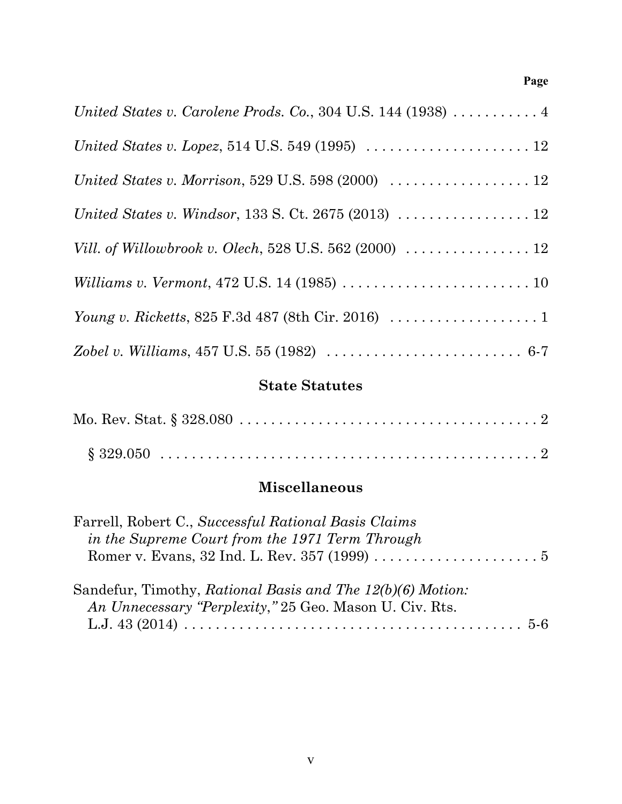### **Page**

| United States v. Carolene Prods. Co., 304 U.S. 144 (1938) $\dots \dots \dots$                              |
|------------------------------------------------------------------------------------------------------------|
| <i>United States v. Lopez</i> , 514 U.S. 549 (1995) $\ldots \ldots \ldots \ldots \ldots \ldots 12$         |
| United States v. Morrison, 529 U.S. 598 (2000) $\ldots \ldots \ldots \ldots \ldots 12$                     |
| United States v. Windsor, 133 S. Ct. 2675 (2013) $\ldots \ldots \ldots \ldots \ldots 12$                   |
| <i>Vill. of Willowbrook v. Olech</i> , 528 U.S. 562 (2000) $\ldots \ldots \ldots \ldots \ldots 12$         |
| <i>Williams v. Vermont, 472 U.S. 14 (1985) </i> 10                                                         |
| <i>Young v. Ricketts, 825 F.3d 487 (8th Cir. 2016)</i> $\ldots \ldots \ldots \ldots \ldots 1$              |
| Zobel v. Williams, 457 U.S. 55 (1982) $\ldots \ldots \ldots \ldots \ldots \ldots \ldots \ldots \ldots 6-7$ |

## **State Statutes**

# **Miscellaneous**

| Farrell, Robert C., Successful Rational Basis Claims       |  |
|------------------------------------------------------------|--|
| in the Supreme Court from the 1971 Term Through            |  |
|                                                            |  |
|                                                            |  |
| Sandefur, Timothy, Rational Basis and The 12(b)(6) Motion: |  |
| An Unnecessary "Perplexity," 25 Geo. Mason U. Civ. Rts.    |  |
|                                                            |  |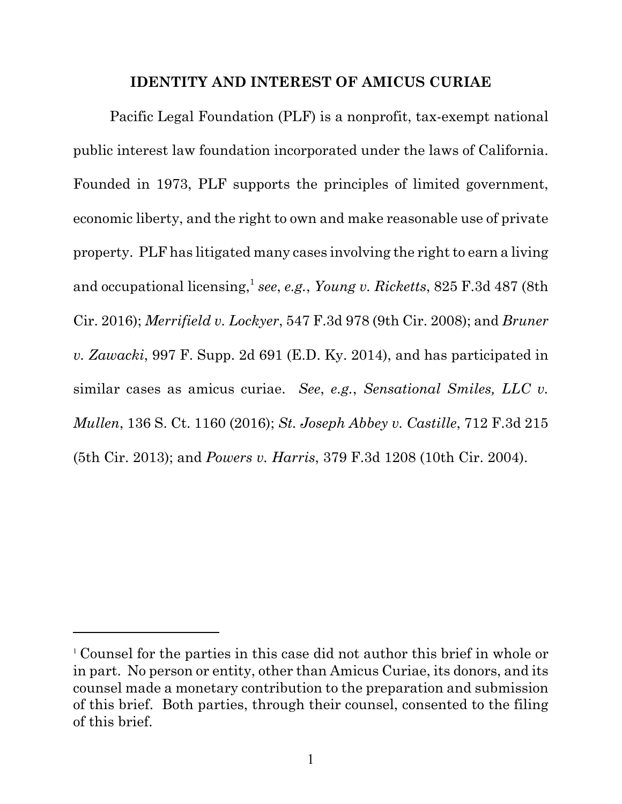#### **IDENTITY AND INTEREST OF AMICUS CURIAE**

Pacific Legal Foundation (PLF) is a nonprofit, tax-exempt national public interest law foundation incorporated under the laws of California. Founded in 1973, PLF supports the principles of limited government, economic liberty, and the right to own and make reasonable use of private property. PLF has litigated many cases involving the right to earn a living and occupational licensing,<sup>1</sup> see, e.g., *Young v. Ricketts*, 825 F.3d 487 (8th Cir. 2016); *Merrifield v. Lockyer*, 547 F.3d 978 (9th Cir. 2008); and *Bruner v. Zawacki*, 997 F. Supp. 2d 691 (E.D. Ky. 2014), and has participated in similar cases as amicus curiae. *See*, *e.g.*, *Sensational Smiles, LLC v. Mullen*, 136 S. Ct. 1160 (2016); *St. Joseph Abbey v. Castille*, 712 F.3d 215 (5th Cir. 2013); and *Powers v. Harris*, 379 F.3d 1208 (10th Cir. 2004).

<sup>1</sup> Counsel for the parties in this case did not author this brief in whole or in part. No person or entity, other than Amicus Curiae, its donors, and its counsel made a monetary contribution to the preparation and submission of this brief. Both parties, through their counsel, consented to the filing of this brief.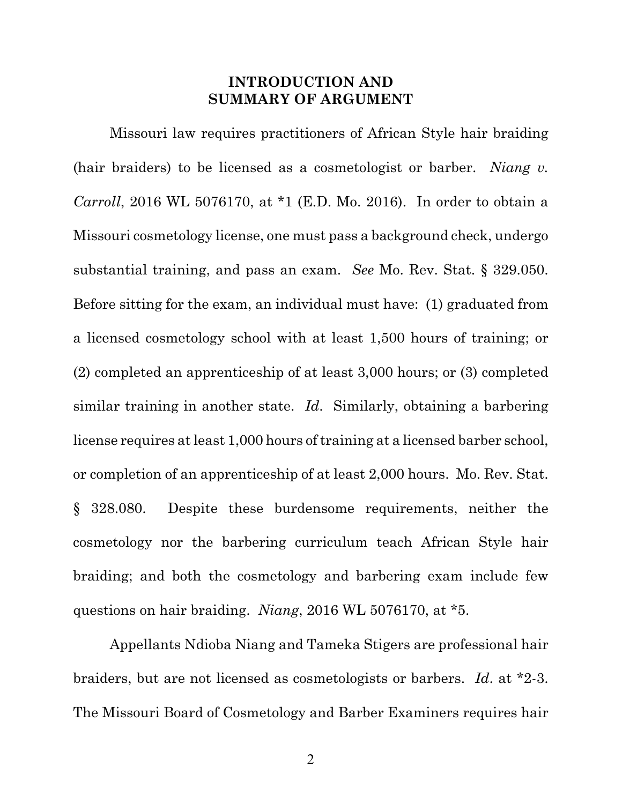### **INTRODUCTION AND SUMMARY OF ARGUMENT**

Missouri law requires practitioners of African Style hair braiding (hair braiders) to be licensed as a cosmetologist or barber. *Niang v. Carroll*, 2016 WL 5076170, at \*1 (E.D. Mo. 2016). In order to obtain a Missouri cosmetology license, one must pass a background check, undergo substantial training, and pass an exam. *See* Mo. Rev. Stat. § 329.050. Before sitting for the exam, an individual must have: (1) graduated from a licensed cosmetology school with at least 1,500 hours of training; or (2) completed an apprenticeship of at least 3,000 hours; or (3) completed similar training in another state. *Id*. Similarly, obtaining a barbering license requires at least 1,000 hours of training at a licensed barber school, or completion of an apprenticeship of at least 2,000 hours. Mo. Rev. Stat. § 328.080. Despite these burdensome requirements, neither the cosmetology nor the barbering curriculum teach African Style hair braiding; and both the cosmetology and barbering exam include few questions on hair braiding. *Niang*, 2016 WL 5076170, at \*5.

Appellants Ndioba Niang and Tameka Stigers are professional hair braiders, but are not licensed as cosmetologists or barbers. *Id*. at \*2-3. The Missouri Board of Cosmetology and Barber Examiners requires hair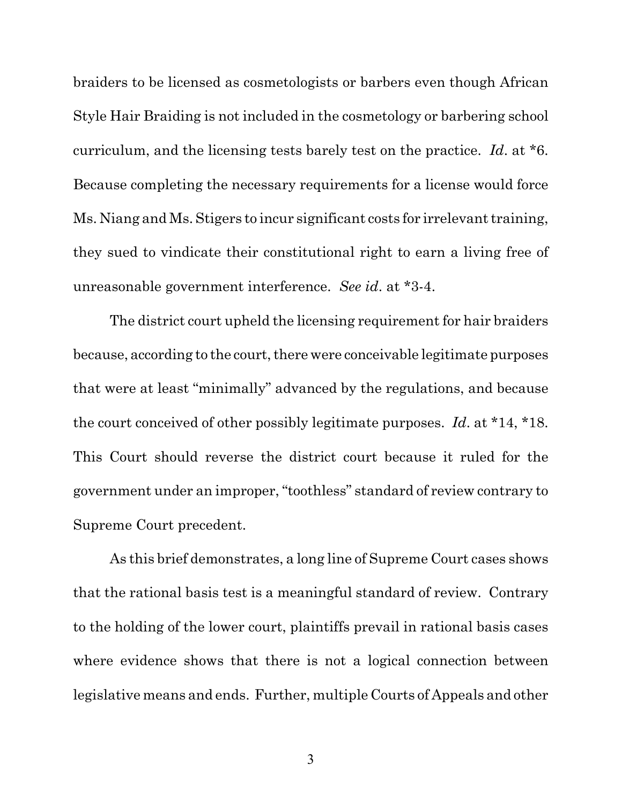braiders to be licensed as cosmetologists or barbers even though African Style Hair Braiding is not included in the cosmetology or barbering school curriculum, and the licensing tests barely test on the practice. *Id*. at \*6. Because completing the necessary requirements for a license would force Ms. Niang and Ms. Stigers to incur significant costs for irrelevant training, they sued to vindicate their constitutional right to earn a living free of unreasonable government interference. *See id*. at \*3-4.

The district court upheld the licensing requirement for hair braiders because, according to the court, there were conceivable legitimate purposes that were at least "minimally" advanced by the regulations, and because the court conceived of other possibly legitimate purposes. *Id*. at \*14, \*18. This Court should reverse the district court because it ruled for the government under an improper, "toothless" standard of review contrary to Supreme Court precedent.

As this brief demonstrates, a long line of Supreme Court cases shows that the rational basis test is a meaningful standard of review. Contrary to the holding of the lower court, plaintiffs prevail in rational basis cases where evidence shows that there is not a logical connection between legislative means and ends. Further, multiple Courts of Appeals and other

3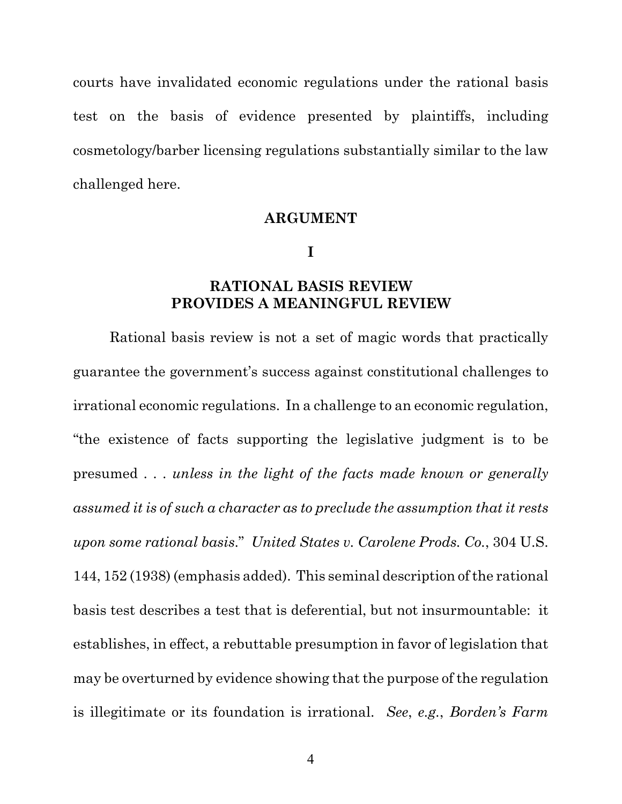courts have invalidated economic regulations under the rational basis test on the basis of evidence presented by plaintiffs, including cosmetology/barber licensing regulations substantially similar to the law challenged here.

#### **ARGUMENT**

**I**

#### **RATIONAL BASIS REVIEW PROVIDES A MEANINGFUL REVIEW**

Rational basis review is not a set of magic words that practically guarantee the government's success against constitutional challenges to irrational economic regulations. In a challenge to an economic regulation, "the existence of facts supporting the legislative judgment is to be presumed . . . *unless in the light of the facts made known or generally assumed it is of such a character as to preclude the assumption that it rests upon some rational basis*." *United States v. Carolene Prods. Co.*, 304 U.S. 144, 152 (1938) (emphasis added). This seminal description of the rational basis test describes a test that is deferential, but not insurmountable: it establishes, in effect, a rebuttable presumption in favor of legislation that may be overturned by evidence showing that the purpose of the regulation is illegitimate or its foundation is irrational. *See*, *e.g.*, *Borden's Farm*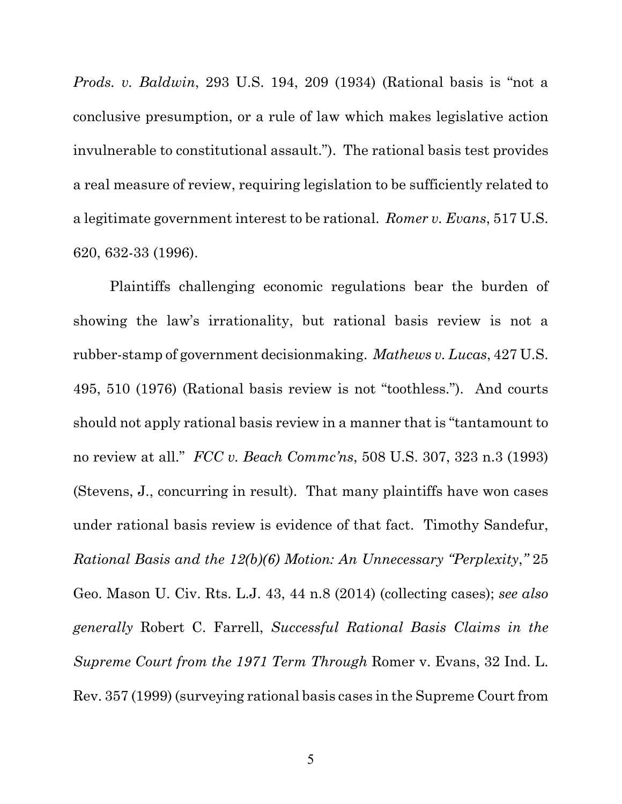*Prods. v. Baldwin*, 293 U.S. 194, 209 (1934) (Rational basis is "not a conclusive presumption, or a rule of law which makes legislative action invulnerable to constitutional assault."). The rational basis test provides a real measure of review, requiring legislation to be sufficiently related to a legitimate government interest to be rational. *Romer v. Evans*, 517 U.S. 620, 632-33 (1996).

Plaintiffs challenging economic regulations bear the burden of showing the law's irrationality, but rational basis review is not a rubber-stamp of government decisionmaking. *Mathews v. Lucas*, 427 U.S. 495, 510 (1976) (Rational basis review is not "toothless."). And courts should not apply rational basis review in a manner that is "tantamount to no review at all." *FCC v. Beach Commc'ns*, 508 U.S. 307, 323 n.3 (1993) (Stevens, J., concurring in result). That many plaintiffs have won cases under rational basis review is evidence of that fact. Timothy Sandefur, *Rational Basis and the 12(b)(6) Motion: An Unnecessary "Perplexity*,*"* 25 Geo. Mason U. Civ. Rts. L.J. 43, 44 n.8 (2014) (collecting cases); *see also generally* Robert C. Farrell, *Successful Rational Basis Claims in the Supreme Court from the 1971 Term Through* Romer v. Evans, 32 Ind. L. Rev. 357 (1999) (surveying rational basis cases in the Supreme Court from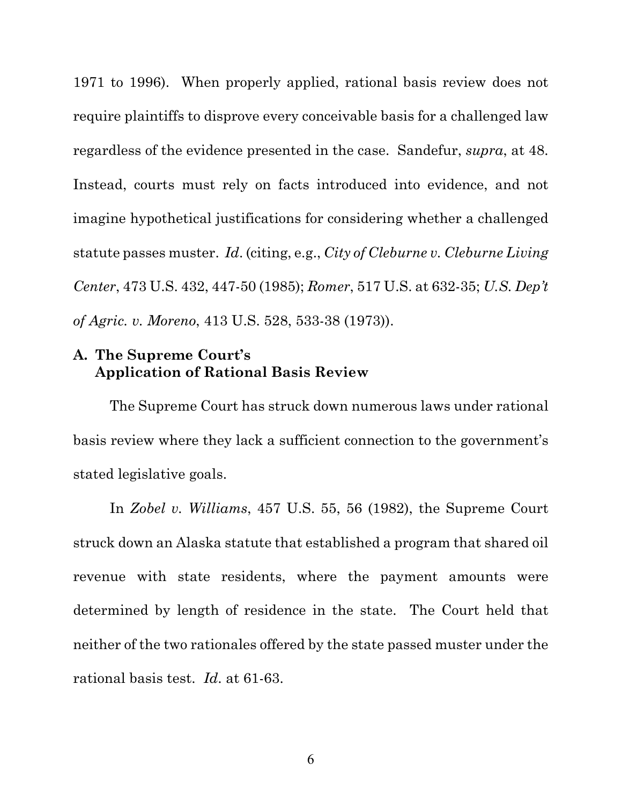1971 to 1996). When properly applied, rational basis review does not require plaintiffs to disprove every conceivable basis for a challenged law regardless of the evidence presented in the case. Sandefur, *supra*, at 48. Instead, courts must rely on facts introduced into evidence, and not imagine hypothetical justifications for considering whether a challenged statute passes muster. *Id*. (citing, e.g., *City of Cleburne v. Cleburne Living Center*, 473 U.S. 432, 447-50 (1985); *Romer*, 517 U.S. at 632-35; *U.S. Dep't of Agric. v. Moreno*, 413 U.S. 528, 533-38 (1973)).

#### **A. The Supreme Court's Application of Rational Basis Review**

The Supreme Court has struck down numerous laws under rational basis review where they lack a sufficient connection to the government's stated legislative goals.

In *Zobel v. Williams*, 457 U.S. 55, 56 (1982), the Supreme Court struck down an Alaska statute that established a program that shared oil revenue with state residents, where the payment amounts were determined by length of residence in the state. The Court held that neither of the two rationales offered by the state passed muster under the rational basis test. *Id*. at 61-63.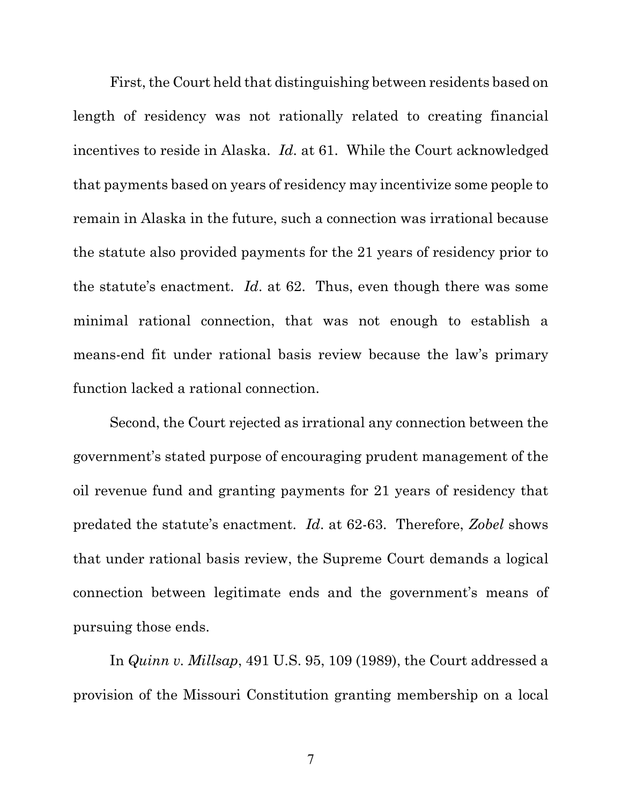First, the Court held that distinguishing between residents based on length of residency was not rationally related to creating financial incentives to reside in Alaska. *Id*. at 61. While the Court acknowledged that payments based on years of residency may incentivize some people to remain in Alaska in the future, such a connection was irrational because the statute also provided payments for the 21 years of residency prior to the statute's enactment. *Id*. at 62. Thus, even though there was some minimal rational connection, that was not enough to establish a means-end fit under rational basis review because the law's primary function lacked a rational connection.

Second, the Court rejected as irrational any connection between the government's stated purpose of encouraging prudent management of the oil revenue fund and granting payments for 21 years of residency that predated the statute's enactment. *Id*. at 62-63. Therefore, *Zobel* shows that under rational basis review, the Supreme Court demands a logical connection between legitimate ends and the government's means of pursuing those ends.

In *Quinn v. Millsap*, 491 U.S. 95, 109 (1989), the Court addressed a provision of the Missouri Constitution granting membership on a local

7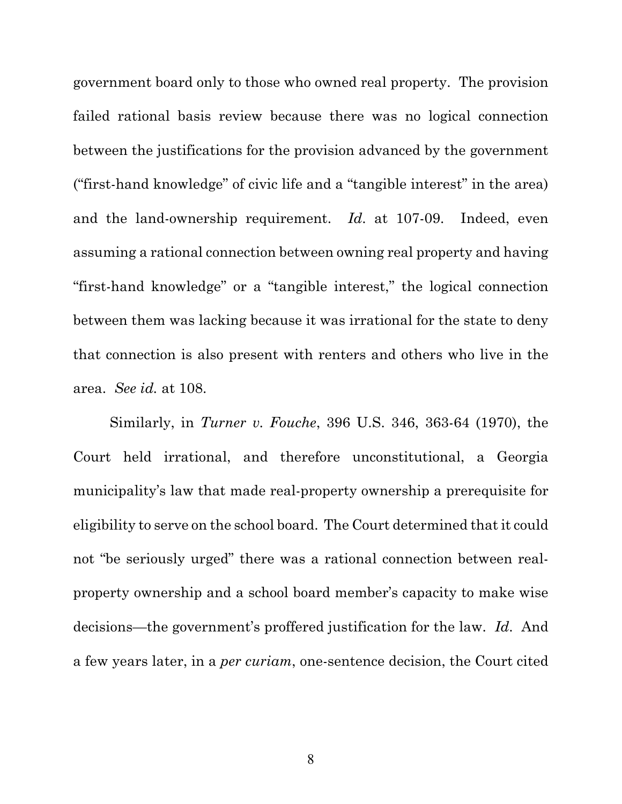government board only to those who owned real property. The provision failed rational basis review because there was no logical connection between the justifications for the provision advanced by the government ("first-hand knowledge" of civic life and a "tangible interest" in the area) and the land-ownership requirement. *Id*. at 107-09. Indeed, even assuming a rational connection between owning real property and having "first-hand knowledge" or a "tangible interest," the logical connection between them was lacking because it was irrational for the state to deny that connection is also present with renters and others who live in the area. *See id.* at 108.

Similarly, in *Turner v. Fouche*, 396 U.S. 346, 363-64 (1970), the Court held irrational, and therefore unconstitutional, a Georgia municipality's law that made real-property ownership a prerequisite for eligibility to serve on the school board. The Court determined that it could not "be seriously urged" there was a rational connection between realproperty ownership and a school board member's capacity to make wise decisions—the government's proffered justification for the law. *Id*. And a few years later, in a *per curiam*, one-sentence decision, the Court cited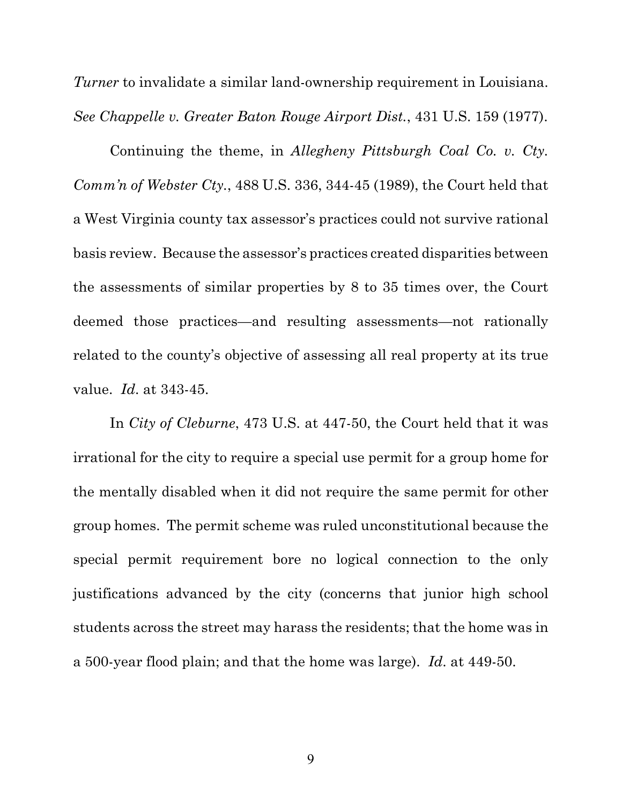*Turner* to invalidate a similar land-ownership requirement in Louisiana. *See Chappelle v. Greater Baton Rouge Airport Dist.*, 431 U.S. 159 (1977).

Continuing the theme, in *Allegheny Pittsburgh Coal Co. v. Cty. Comm'n of Webster Cty.*, 488 U.S. 336, 344-45 (1989), the Court held that a West Virginia county tax assessor's practices could not survive rational basis review. Because the assessor's practices created disparities between the assessments of similar properties by 8 to 35 times over, the Court deemed those practices—and resulting assessments—not rationally related to the county's objective of assessing all real property at its true value. *Id*. at 343-45.

In *City of Cleburne*, 473 U.S. at 447-50, the Court held that it was irrational for the city to require a special use permit for a group home for the mentally disabled when it did not require the same permit for other group homes. The permit scheme was ruled unconstitutional because the special permit requirement bore no logical connection to the only justifications advanced by the city (concerns that junior high school students across the street may harass the residents; that the home was in a 500-year flood plain; and that the home was large). *Id*. at 449-50.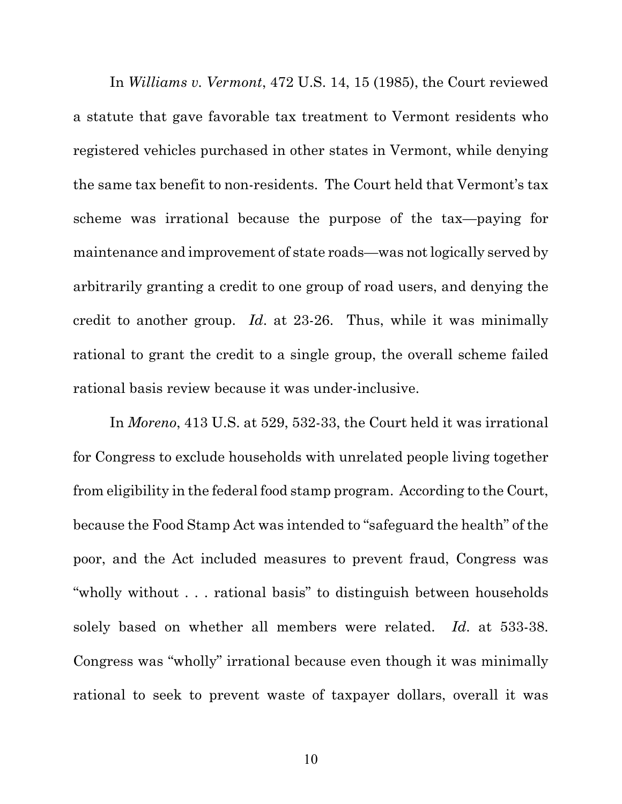In *Williams v. Vermont*, 472 U.S. 14, 15 (1985), the Court reviewed a statute that gave favorable tax treatment to Vermont residents who registered vehicles purchased in other states in Vermont, while denying the same tax benefit to non-residents. The Court held that Vermont's tax scheme was irrational because the purpose of the tax—paying for maintenance and improvement of state roads—was not logically served by arbitrarily granting a credit to one group of road users, and denying the credit to another group. *Id*. at 23-26. Thus, while it was minimally rational to grant the credit to a single group, the overall scheme failed rational basis review because it was under-inclusive.

In *Moreno*, 413 U.S. at 529, 532-33, the Court held it was irrational for Congress to exclude households with unrelated people living together from eligibility in the federal food stamp program. According to the Court, because the Food Stamp Act was intended to "safeguard the health" of the poor, and the Act included measures to prevent fraud, Congress was "wholly without . . . rational basis" to distinguish between households solely based on whether all members were related. *Id*. at 533-38. Congress was "wholly" irrational because even though it was minimally rational to seek to prevent waste of taxpayer dollars, overall it was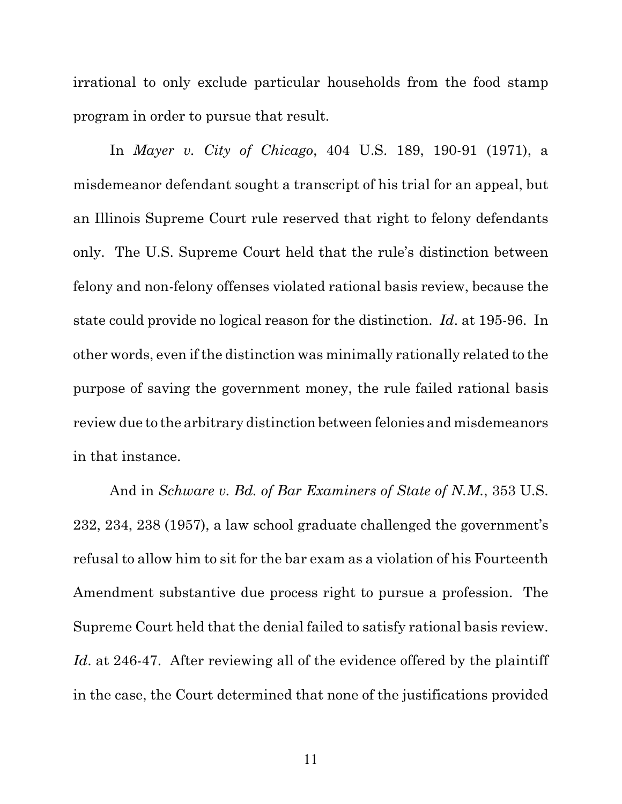irrational to only exclude particular households from the food stamp program in order to pursue that result.

In *Mayer v. City of Chicago*, 404 U.S. 189, 190-91 (1971), a misdemeanor defendant sought a transcript of his trial for an appeal, but an Illinois Supreme Court rule reserved that right to felony defendants only. The U.S. Supreme Court held that the rule's distinction between felony and non-felony offenses violated rational basis review, because the state could provide no logical reason for the distinction. *Id*. at 195-96. In other words, even if the distinction was minimally rationally related to the purpose of saving the government money, the rule failed rational basis review due to the arbitrary distinction between felonies and misdemeanors in that instance.

And in *Schware v. Bd. of Bar Examiners of State of N.M.*, 353 U.S. 232, 234, 238 (1957), a law school graduate challenged the government's refusal to allow him to sit for the bar exam as a violation of his Fourteenth Amendment substantive due process right to pursue a profession. The Supreme Court held that the denial failed to satisfy rational basis review. *Id.* at 246-47. After reviewing all of the evidence offered by the plaintiff in the case, the Court determined that none of the justifications provided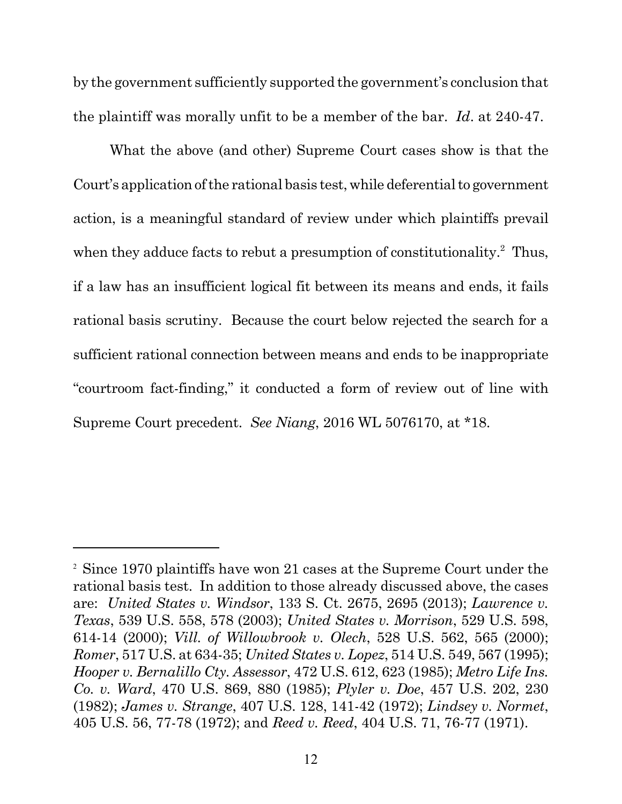by the government sufficiently supported the government's conclusion that the plaintiff was morally unfit to be a member of the bar. *Id*. at 240-47.

What the above (and other) Supreme Court cases show is that the Court's application of the rational basis test, while deferential to government action, is a meaningful standard of review under which plaintiffs prevail when they adduce facts to rebut a presumption of constitutionality. $2$  Thus, if a law has an insufficient logical fit between its means and ends, it fails rational basis scrutiny. Because the court below rejected the search for a sufficient rational connection between means and ends to be inappropriate "courtroom fact-finding," it conducted a form of review out of line with Supreme Court precedent. *See Niang*, 2016 WL 5076170, at \*18.

<sup>2</sup> Since 1970 plaintiffs have won 21 cases at the Supreme Court under the rational basis test. In addition to those already discussed above, the cases are: *United States v. Windsor*, 133 S. Ct. 2675, 2695 (2013); *Lawrence v. Texas*, 539 U.S. 558, 578 (2003); *United States v. Morrison*, 529 U.S. 598, 614-14 (2000); *Vill. of Willowbrook v. Olech*, 528 U.S. 562, 565 (2000); *Romer*, 517 U.S. at 634-35; *United States v. Lopez*, 514 U.S. 549, 567 (1995); *Hooper v. Bernalillo Cty. Assessor*, 472 U.S. 612, 623 (1985); *Metro Life Ins. Co. v. Ward*, 470 U.S. 869, 880 (1985); *Plyler v. Doe*, 457 U.S. 202, 230 (1982); *James v. Strange*, 407 U.S. 128, 141-42 (1972); *Lindsey v. Normet*, 405 U.S. 56, 77-78 (1972); and *Reed v. Reed*, 404 U.S. 71, 76-77 (1971).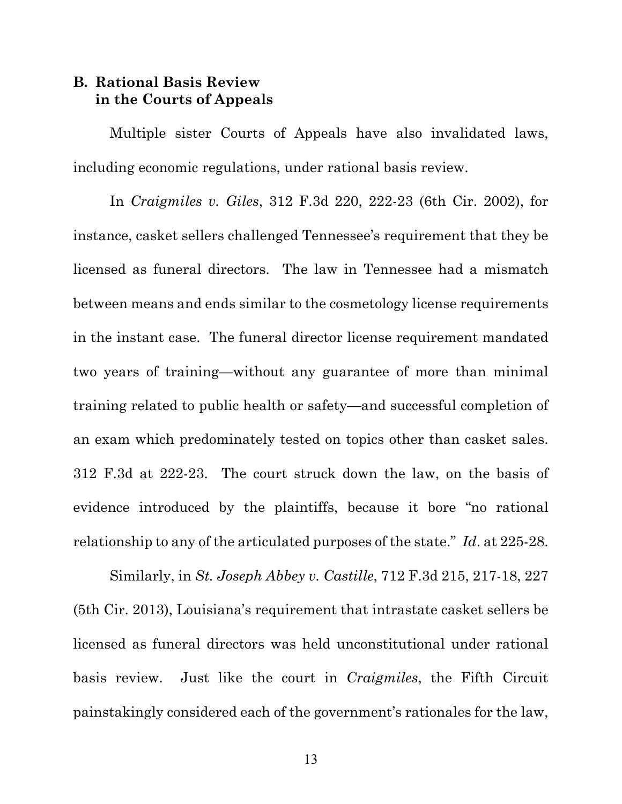### **B. Rational Basis Review in the Courts of Appeals**

Multiple sister Courts of Appeals have also invalidated laws, including economic regulations, under rational basis review.

In *Craigmiles v. Giles*, 312 F.3d 220, 222-23 (6th Cir. 2002), for instance, casket sellers challenged Tennessee's requirement that they be licensed as funeral directors. The law in Tennessee had a mismatch between means and ends similar to the cosmetology license requirements in the instant case. The funeral director license requirement mandated two years of training—without any guarantee of more than minimal training related to public health or safety—and successful completion of an exam which predominately tested on topics other than casket sales. 312 F.3d at 222-23. The court struck down the law, on the basis of evidence introduced by the plaintiffs, because it bore "no rational relationship to any of the articulated purposes of the state." *Id*. at 225-28.

Similarly, in *St. Joseph Abbey v. Castille*, 712 F.3d 215, 217-18, 227 (5th Cir. 2013), Louisiana's requirement that intrastate casket sellers be licensed as funeral directors was held unconstitutional under rational basis review. Just like the court in *Craigmiles*, the Fifth Circuit painstakingly considered each of the government's rationales for the law,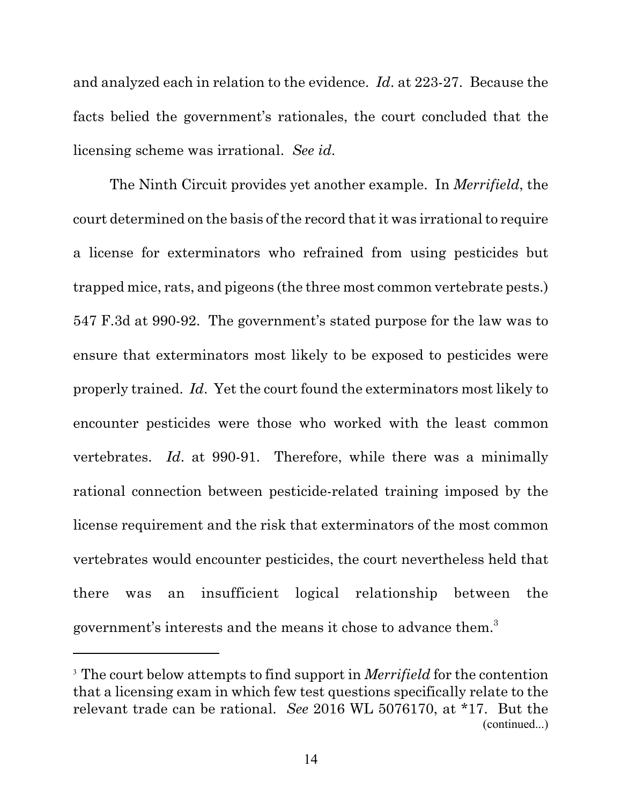and analyzed each in relation to the evidence. *Id*. at 223-27. Because the facts belied the government's rationales, the court concluded that the licensing scheme was irrational. *See id*.

The Ninth Circuit provides yet another example. In *Merrifield*, the court determined on the basis of the record that it was irrational to require a license for exterminators who refrained from using pesticides but trapped mice, rats, and pigeons (the three most common vertebrate pests.) 547 F.3d at 990-92. The government's stated purpose for the law was to ensure that exterminators most likely to be exposed to pesticides were properly trained. *Id*. Yet the court found the exterminators most likely to encounter pesticides were those who worked with the least common vertebrates. *Id*. at 990-91. Therefore, while there was a minimally rational connection between pesticide-related training imposed by the license requirement and the risk that exterminators of the most common vertebrates would encounter pesticides, the court nevertheless held that there was an insufficient logical relationship between the government's interests and the means it chose to advance them.3

<sup>&</sup>lt;sup>3</sup> The court below attempts to find support in *Merrifield* for the contention that a licensing exam in which few test questions specifically relate to the relevant trade can be rational. *See* 2016 WL 5076170, at \*17. But the (continued...)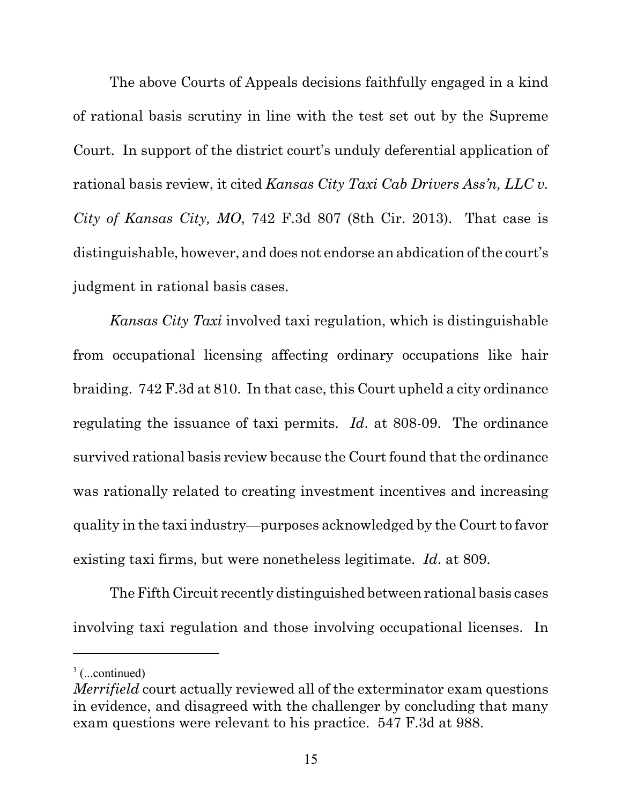The above Courts of Appeals decisions faithfully engaged in a kind of rational basis scrutiny in line with the test set out by the Supreme Court. In support of the district court's unduly deferential application of rational basis review, it cited *Kansas City Taxi Cab Drivers Ass'n, LLC v. City of Kansas City, MO*, 742 F.3d 807 (8th Cir. 2013). That case is distinguishable, however, and does not endorse an abdication of the court's judgment in rational basis cases.

*Kansas City Taxi* involved taxi regulation, which is distinguishable from occupational licensing affecting ordinary occupations like hair braiding. 742 F.3d at 810. In that case, this Court upheld a city ordinance regulating the issuance of taxi permits. *Id*. at 808-09. The ordinance survived rational basis review because the Court found that the ordinance was rationally related to creating investment incentives and increasing quality in the taxi industry—purposes acknowledged by the Court to favor existing taxi firms, but were nonetheless legitimate. *Id*. at 809.

The Fifth Circuit recently distinguished between rational basis cases involving taxi regulation and those involving occupational licenses. In

 $3$  (...continued)

*Merrifield* court actually reviewed all of the exterminator exam questions in evidence, and disagreed with the challenger by concluding that many exam questions were relevant to his practice. 547 F.3d at 988.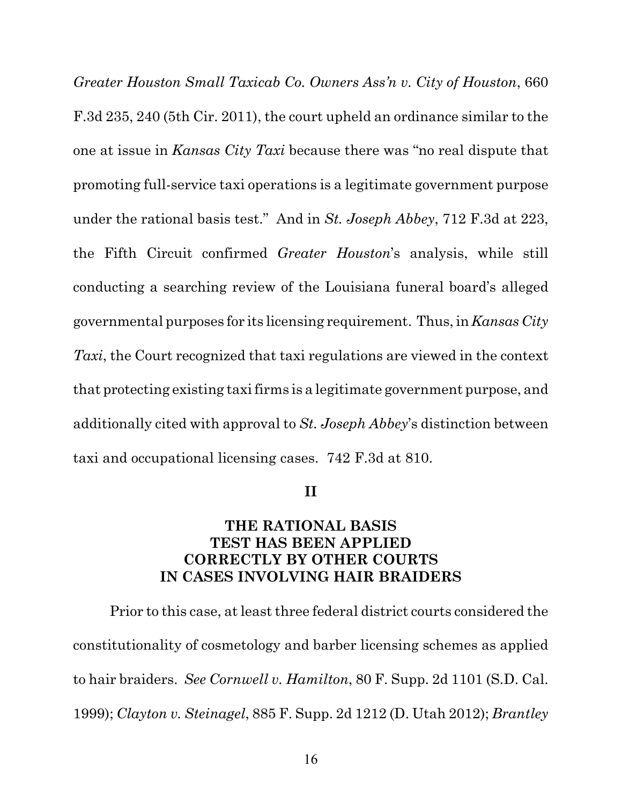*Greater Houston Small Taxicab Co. Owners Ass'n v. City of Houston*, 660 F.3d 235, 240 (5th Cir. 2011), the court upheld an ordinance similar to the one at issue in *Kansas City Taxi* because there was "no real dispute that promoting full-service taxi operations is a legitimate government purpose under the rational basis test." And in *St. Joseph Abbey*, 712 F.3d at 223, the Fifth Circuit confirmed *Greater Houston*'s analysis, while still conducting a searching review of the Louisiana funeral board's alleged governmental purposes for its licensing requirement. Thus, in *Kansas City Taxi*, the Court recognized that taxi regulations are viewed in the context that protecting existing taxi firms is a legitimate government purpose, and additionally cited with approval to *St. Joseph Abbey*'s distinction between taxi and occupational licensing cases. 742 F.3d at 810.

#### **II**

#### **THE RATIONAL BASIS TEST HAS BEEN APPLIED CORRECTLY BY OTHER COURTS IN CASES INVOLVING HAIR BRAIDERS**

Prior to this case, at least three federal district courts considered the constitutionality of cosmetology and barber licensing schemes as applied to hair braiders. *See Cornwell v. Hamilton*, 80 F. Supp. 2d 1101 (S.D. Cal. 1999); *Clayton v. Steinagel*, 885 F. Supp. 2d 1212 (D. Utah 2012); *Brantley*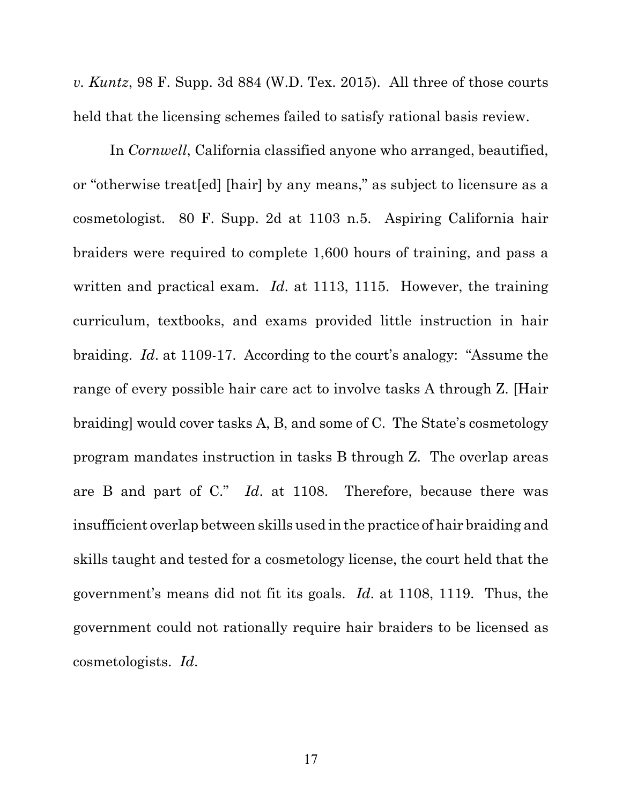*v. Kuntz*, 98 F. Supp. 3d 884 (W.D. Tex. 2015). All three of those courts held that the licensing schemes failed to satisfy rational basis review.

In *Cornwell*, California classified anyone who arranged, beautified, or "otherwise treat[ed] [hair] by any means," as subject to licensure as a cosmetologist. 80 F. Supp. 2d at 1103 n.5. Aspiring California hair braiders were required to complete 1,600 hours of training, and pass a written and practical exam. *Id*. at 1113, 1115. However, the training curriculum, textbooks, and exams provided little instruction in hair braiding. *Id*. at 1109-17. According to the court's analogy: "Assume the range of every possible hair care act to involve tasks A through Z. [Hair braiding] would cover tasks A, B, and some of C. The State's cosmetology program mandates instruction in tasks B through Z. The overlap areas are B and part of C." *Id*. at 1108. Therefore, because there was insufficient overlap between skills used in the practice of hair braiding and skills taught and tested for a cosmetology license, the court held that the government's means did not fit its goals. *Id*. at 1108, 1119. Thus, the government could not rationally require hair braiders to be licensed as cosmetologists. *Id*.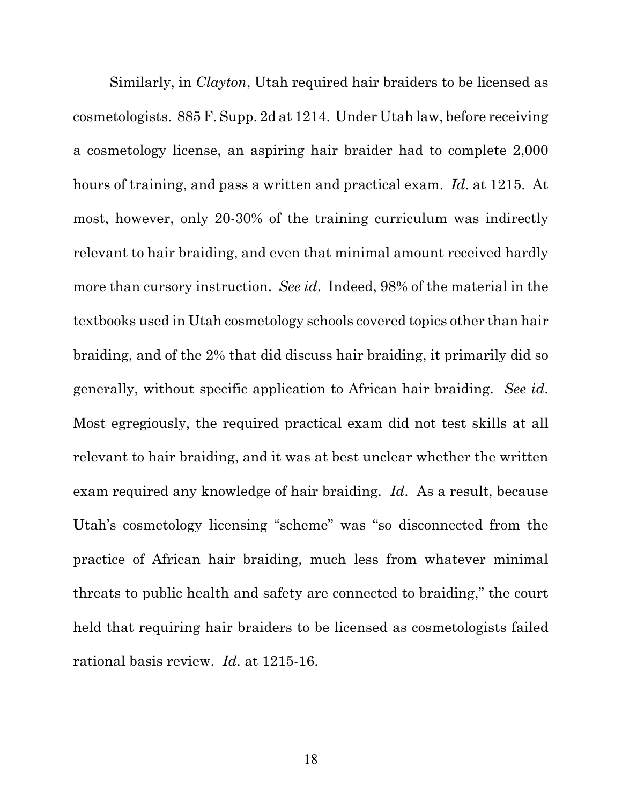Similarly, in *Clayton*, Utah required hair braiders to be licensed as cosmetologists. 885 F. Supp. 2d at 1214. Under Utah law, before receiving a cosmetology license, an aspiring hair braider had to complete 2,000 hours of training, and pass a written and practical exam. *Id*. at 1215. At most, however, only 20-30% of the training curriculum was indirectly relevant to hair braiding, and even that minimal amount received hardly more than cursory instruction. *See id*. Indeed, 98% of the material in the textbooks used in Utah cosmetology schools covered topics other than hair braiding, and of the 2% that did discuss hair braiding, it primarily did so generally, without specific application to African hair braiding. *See id*. Most egregiously, the required practical exam did not test skills at all relevant to hair braiding, and it was at best unclear whether the written exam required any knowledge of hair braiding. *Id*. As a result, because Utah's cosmetology licensing "scheme" was "so disconnected from the practice of African hair braiding, much less from whatever minimal threats to public health and safety are connected to braiding," the court held that requiring hair braiders to be licensed as cosmetologists failed rational basis review. *Id*. at 1215-16.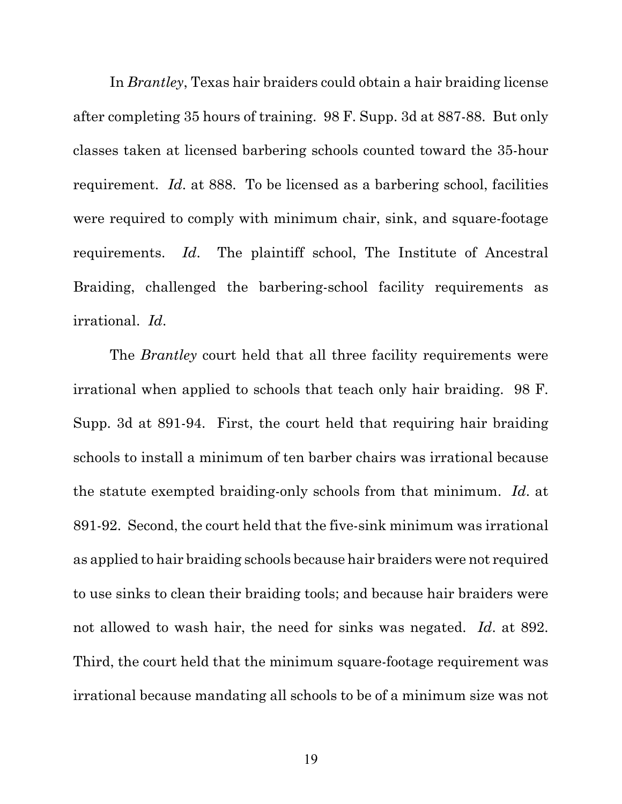In *Brantley*, Texas hair braiders could obtain a hair braiding license after completing 35 hours of training. 98 F. Supp. 3d at 887-88. But only classes taken at licensed barbering schools counted toward the 35-hour requirement. *Id*. at 888. To be licensed as a barbering school, facilities were required to comply with minimum chair, sink, and square-footage requirements. *Id*. The plaintiff school, The Institute of Ancestral Braiding, challenged the barbering-school facility requirements as irrational. *Id*.

The *Brantley* court held that all three facility requirements were irrational when applied to schools that teach only hair braiding. 98 F. Supp. 3d at 891-94. First, the court held that requiring hair braiding schools to install a minimum of ten barber chairs was irrational because the statute exempted braiding-only schools from that minimum. *Id*. at 891-92. Second, the court held that the five-sink minimum was irrational as applied to hair braiding schools because hair braiders were not required to use sinks to clean their braiding tools; and because hair braiders were not allowed to wash hair, the need for sinks was negated. *Id*. at 892. Third, the court held that the minimum square-footage requirement was irrational because mandating all schools to be of a minimum size was not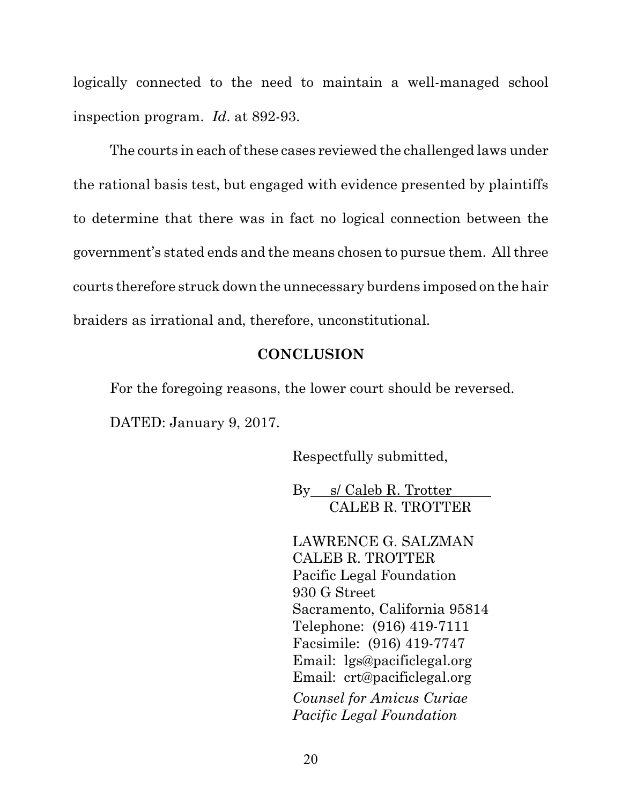logically connected to the need to maintain a well-managed school inspection program. *Id*. at 892-93.

The courts in each of these cases reviewed the challenged laws under the rational basis test, but engaged with evidence presented by plaintiffs to determine that there was in fact no logical connection between the government's stated ends and the means chosen to pursue them. All three courts therefore struck down the unnecessary burdens imposed on the hair braiders as irrational and, therefore, unconstitutional.

#### **CONCLUSION**

For the foregoing reasons, the lower court should be reversed. DATED: January 9, 2017.

Respectfully submitted,

By s/ Caleb R. Trotter CALEB R. TROTTER

LAWRENCE G. SALZMAN CALEB R. TROTTER Pacific Legal Foundation 930 G Street Sacramento, California 95814 Telephone: (916) 419-7111 Facsimile: (916) 419-7747 Email: lgs@pacificlegal.org Email: crt@pacificlegal.org *Counsel for Amicus Curiae Pacific Legal Foundation*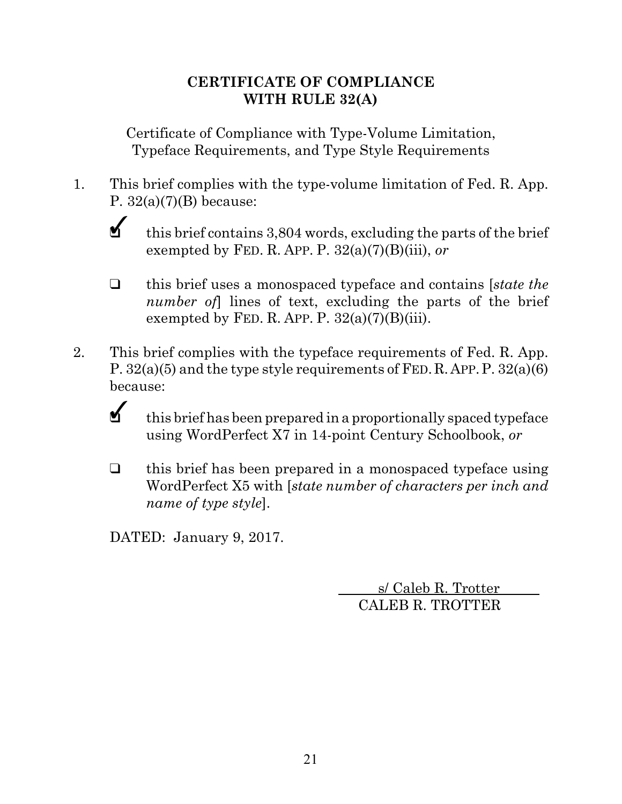## **CERTIFICATE OF COMPLIANCE WITH RULE 32(A)**

Certificate of Compliance with Type-Volume Limitation, Typeface Requirements, and Type Style Requirements

1. This brief complies with the type-volume limitation of Fed. R. App. P.  $32(a)(7)(B)$  because:

- $\checkmark$ this brief contains 3,804 words, excluding the parts of the brief exempted by FED. R. APP. P. 32(a)(7)(B)(iii), *or*
- " this brief uses a monospaced typeface and contains [*state the number of*] lines of text, excluding the parts of the brief exempted by FED. R. APP. P.  $32(a)(7)(B)(iii)$ .
- 2. This brief complies with the typeface requirements of Fed. R. App. P. 32(a)(5) and the type style requirements of FED.R.APP.P. 32(a)(6) because:
	- $\checkmark$

this brief has been prepared in a proportionally spaced typeface using WordPerfect X7 in 14-point Century Schoolbook, *or*

 $\Box$  this brief has been prepared in a monospaced typeface using WordPerfect X5 with [*state number of characters per inch and name of type style*].

DATED: January 9, 2017.

 s/ Caleb R. Trotter CALEB R. TROTTER